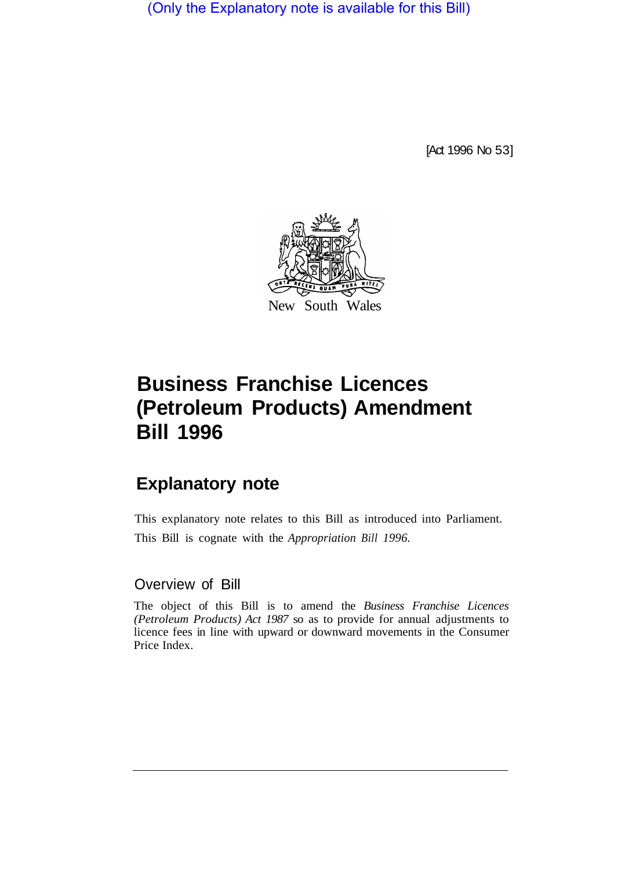(Only the Explanatory note is available for this Bill)

[Act 1996 No 53]



## **Business Franchise Licences (Petroleum Products) Amendment Bill 1996**

## **Explanatory note**

This explanatory note relates to this Bill as introduced into Parliament. This Bill is cognate with the *Appropriation Bill 1996.* 

Overview of Bill

The object of this Bill is to amend the *Business Franchise Licences (Petroleum Products) Act 1987* so as to provide for annual adjustments to licence fees in line with upward or downward movements in the Consumer Price Index.